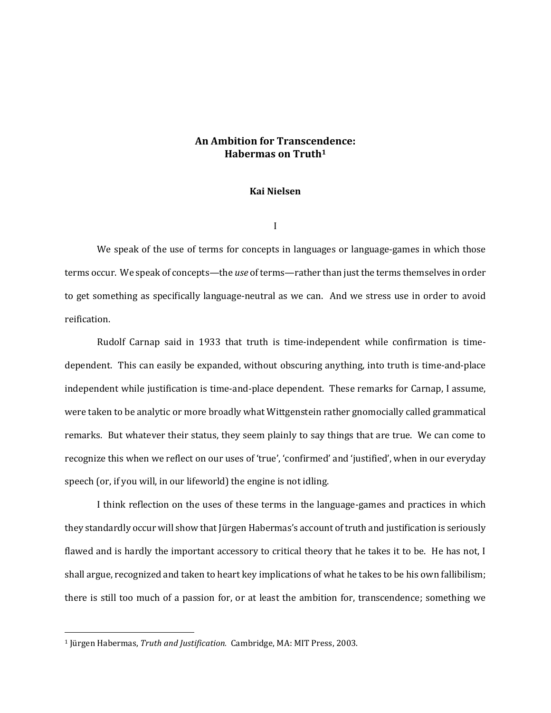## **An Ambition for Transcendence: Habermas on Truth<sup>1</sup>**

## **Kai Nielsen**

I

We speak of the use of terms for concepts in languages or language-games in which those terms occur. We speak of concepts—the *use* of terms—rather than just the terms themselves in order to get something as specifically language-neutral as we can. And we stress use in order to avoid reification.

Rudolf Carnap said in 1933 that truth is time-independent while confirmation is timedependent. This can easily be expanded, without obscuring anything, into truth is time-and-place independent while justification is time-and-place dependent. These remarks for Carnap, I assume, were taken to be analytic or more broadly what Wittgenstein rather gnomocially called grammatical remarks. But whatever their status, they seem plainly to say things that are true. We can come to recognize this when we reflect on our uses of 'true', 'confirmed' and 'justified', when in our everyday speech (or, if you will, in our lifeworld) the engine is not idling.

I think reflection on the uses of these terms in the language-games and practices in which they standardly occur will show that Jürgen Habermas's account of truth and justification is seriously flawed and is hardly the important accessory to critical theory that he takes it to be. He has not, I shall argue, recognized and taken to heart key implications of what he takes to be his own fallibilism; there is still too much of a passion for, or at least the ambition for, transcendence; something we

 $\overline{a}$ 

<sup>1</sup> Jürgen Habermas, *Truth and Justification.* Cambridge, MA: MIT Press, 2003.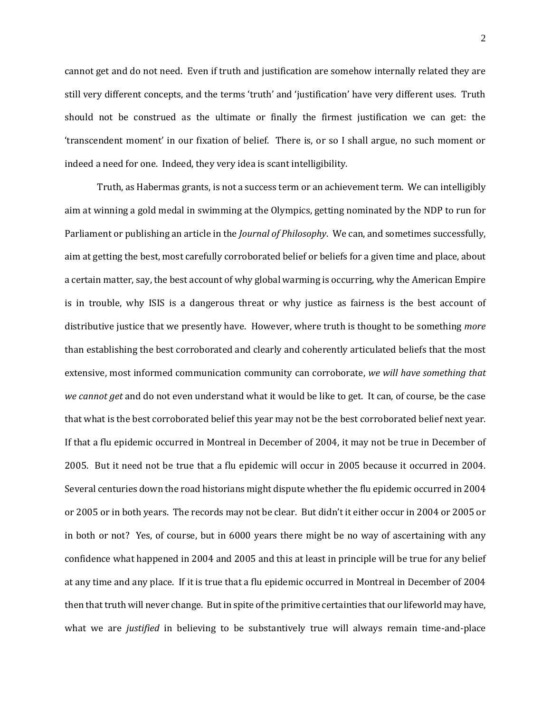cannot get and do not need. Even if truth and justification are somehow internally related they are still very different concepts, and the terms 'truth' and 'justification' have very different uses. Truth should not be construed as the ultimate or finally the firmest justification we can get: the 'transcendent moment' in our fixation of belief. There is, or so I shall argue, no such moment or indeed a need for one. Indeed, they very idea is scant intelligibility.

Truth, as Habermas grants, is not a success term or an achievement term. We can intelligibly aim at winning a gold medal in swimming at the Olympics, getting nominated by the NDP to run for Parliament or publishing an article in the *Journal of Philosophy*. We can, and sometimes successfully, aim at getting the best, most carefully corroborated belief or beliefs for a given time and place, about a certain matter, say, the best account of why global warming is occurring, why the American Empire is in trouble, why ISIS is a dangerous threat or why justice as fairness is the best account of distributive justice that we presently have. However, where truth is thought to be something *more* than establishing the best corroborated and clearly and coherently articulated beliefs that the most extensive, most informed communication community can corroborate, *we will have something that we cannot get* and do not even understand what it would be like to get. It can, of course, be the case that what is the best corroborated belief this year may not be the best corroborated belief next year. If that a flu epidemic occurred in Montreal in December of 2004, it may not be true in December of 2005. But it need not be true that a flu epidemic will occur in 2005 because it occurred in 2004. Several centuries down the road historians might dispute whether the flu epidemic occurred in 2004 or 2005 or in both years. The records may not be clear. But didn't it either occur in 2004 or 2005 or in both or not? Yes, of course, but in 6000 years there might be no way of ascertaining with any confidence what happened in 2004 and 2005 and this at least in principle will be true for any belief at any time and any place. If it is true that a flu epidemic occurred in Montreal in December of 2004 then that truth will never change. But in spite of the primitive certainties that our lifeworld may have, what we are *justified* in believing to be substantively true will always remain time-and-place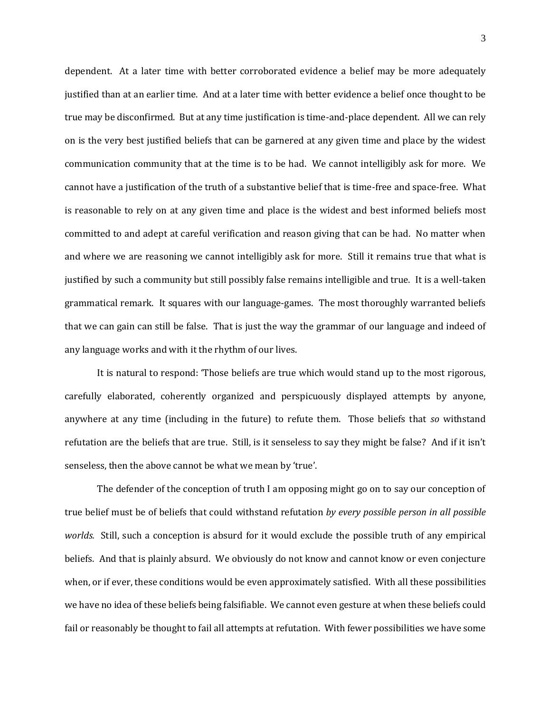dependent. At a later time with better corroborated evidence a belief may be more adequately justified than at an earlier time. And at a later time with better evidence a belief once thought to be true may be disconfirmed. But at any time justification is time-and-place dependent. All we can rely on is the very best justified beliefs that can be garnered at any given time and place by the widest communication community that at the time is to be had. We cannot intelligibly ask for more. We cannot have a justification of the truth of a substantive belief that is time-free and space-free. What is reasonable to rely on at any given time and place is the widest and best informed beliefs most committed to and adept at careful verification and reason giving that can be had. No matter when and where we are reasoning we cannot intelligibly ask for more. Still it remains true that what is justified by such a community but still possibly false remains intelligible and true. It is a well-taken grammatical remark. It squares with our language-games. The most thoroughly warranted beliefs that we can gain can still be false. That is just the way the grammar of our language and indeed of any language works and with it the rhythm of our lives.

It is natural to respond: 'Those beliefs are true which would stand up to the most rigorous, carefully elaborated, coherently organized and perspicuously displayed attempts by anyone, anywhere at any time (including in the future) to refute them. Those beliefs that *so* withstand refutation are the beliefs that are true. Still, is it senseless to say they might be false? And if it isn't senseless, then the above cannot be what we mean by 'true'.

The defender of the conception of truth I am opposing might go on to say our conception of true belief must be of beliefs that could withstand refutation *by every possible person in all possible worlds.* Still, such a conception is absurd for it would exclude the possible truth of any empirical beliefs. And that is plainly absurd. We obviously do not know and cannot know or even conjecture when, or if ever, these conditions would be even approximately satisfied. With all these possibilities we have no idea of these beliefs being falsifiable. We cannot even gesture at when these beliefs could fail or reasonably be thought to fail all attempts at refutation. With fewer possibilities we have some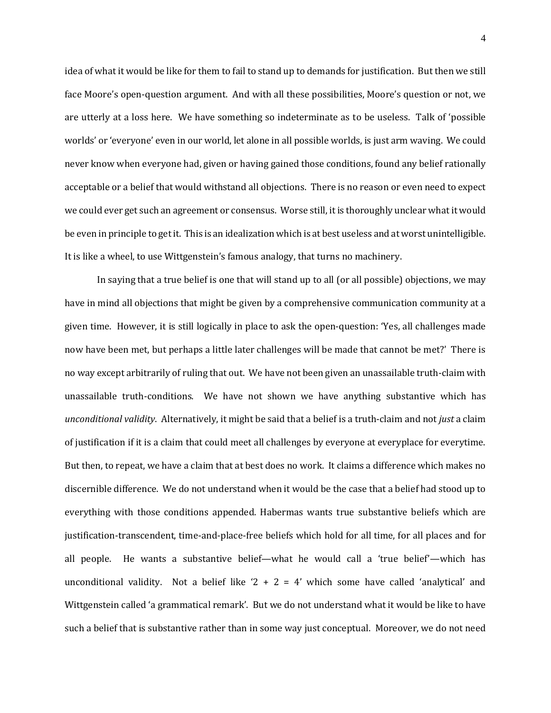idea of what it would be like for them to fail to stand up to demands for justification. But then we still face Moore's open-question argument. And with all these possibilities, Moore's question or not, we are utterly at a loss here. We have something so indeterminate as to be useless. Talk of 'possible worlds' or 'everyone' even in our world, let alone in all possible worlds, is just arm waving. We could never know when everyone had, given or having gained those conditions, found any belief rationally acceptable or a belief that would withstand all objections. There is no reason or even need to expect we could ever get such an agreement or consensus. Worse still, it is thoroughly unclear what it would be even in principle to get it. This is an idealization which is at best useless and at worst unintelligible. It is like a wheel, to use Wittgenstein's famous analogy, that turns no machinery.

In saying that a true belief is one that will stand up to all (or all possible) objections, we may have in mind all objections that might be given by a comprehensive communication community at a given time. However, it is still logically in place to ask the open-question: 'Yes, all challenges made now have been met, but perhaps a little later challenges will be made that cannot be met?' There is no way except arbitrarily of ruling that out. We have not been given an unassailable truth-claim with unassailable truth-conditions. We have not shown we have anything substantive which has *unconditional validity*. Alternatively, it might be said that a belief is a truth-claim and not *just* a claim of justification if it is a claim that could meet all challenges by everyone at everyplace for everytime. But then, to repeat, we have a claim that at best does no work. It claims a difference which makes no discernible difference. We do not understand when it would be the case that a belief had stood up to everything with those conditions appended. Habermas wants true substantive beliefs which are justification-transcendent, time-and-place-free beliefs which hold for all time, for all places and for all people. He wants a substantive belief—what he would call a 'true belief'—which has unconditional validity. Not a belief like  $2 + 2 = 4$  which some have called 'analytical' and Wittgenstein called 'a grammatical remark'. But we do not understand what it would be like to have such a belief that is substantive rather than in some way just conceptual. Moreover, we do not need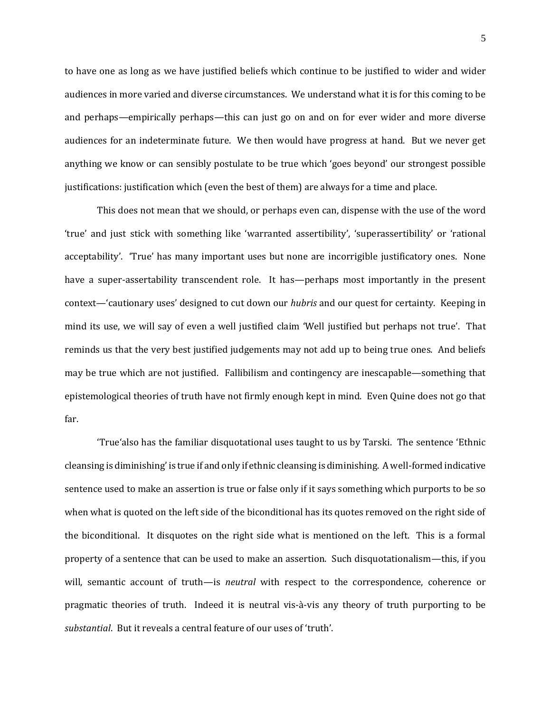to have one as long as we have justified beliefs which continue to be justified to wider and wider audiences in more varied and diverse circumstances. We understand what it is for this coming to be and perhaps—empirically perhaps—this can just go on and on for ever wider and more diverse audiences for an indeterminate future. We then would have progress at hand. But we never get anything we know or can sensibly postulate to be true which 'goes beyond' our strongest possible justifications: justification which (even the best of them) are always for a time and place.

This does not mean that we should, or perhaps even can, dispense with the use of the word 'true' and just stick with something like 'warranted assertibility', 'superassertibility' or 'rational acceptability'. 'True' has many important uses but none are incorrigible justificatory ones. None have a super-assertability transcendent role. It has—perhaps most importantly in the present context—'cautionary uses' designed to cut down our *hubris* and our quest for certainty. Keeping in mind its use, we will say of even a well justified claim 'Well justified but perhaps not true'. That reminds us that the very best justified judgements may not add up to being true ones. And beliefs may be true which are not justified. Fallibilism and contingency are inescapable—something that epistemological theories of truth have not firmly enough kept in mind. Even Quine does not go that far.

'True'also has the familiar disquotational uses taught to us by Tarski. The sentence 'Ethnic cleansing is diminishing' is true if and only if ethnic cleansing is diminishing. A well-formed indicative sentence used to make an assertion is true or false only if it says something which purports to be so when what is quoted on the left side of the biconditional has its quotes removed on the right side of the biconditional. It disquotes on the right side what is mentioned on the left. This is a formal property of a sentence that can be used to make an assertion. Such disquotationalism—this, if you will, semantic account of truth—is *neutral* with respect to the correspondence, coherence or pragmatic theories of truth. Indeed it is neutral vis-à-vis any theory of truth purporting to be *substantial*. But it reveals a central feature of our uses of 'truth'.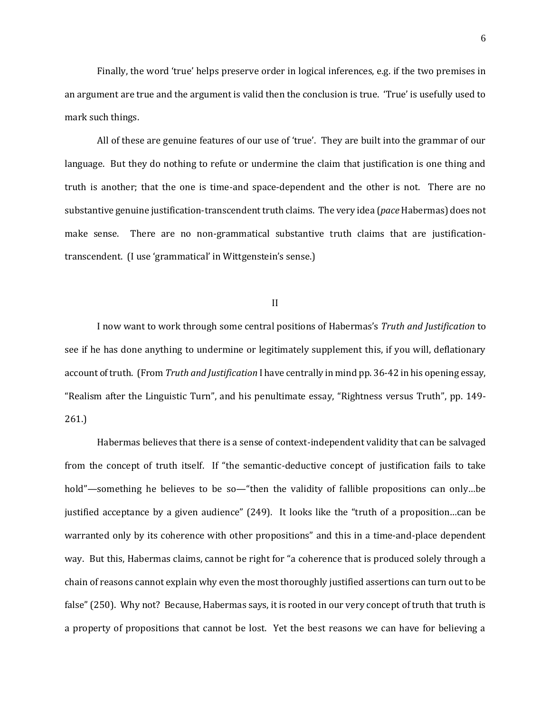Finally, the word 'true' helps preserve order in logical inferences, e.g. if the two premises in an argument are true and the argument is valid then the conclusion is true. 'True' is usefully used to mark such things.

All of these are genuine features of our use of 'true'. They are built into the grammar of our language. But they do nothing to refute or undermine the claim that justification is one thing and truth is another; that the one is time-and space-dependent and the other is not. There are no substantive genuine justification-transcendent truth claims. The very idea (*pace* Habermas) does not make sense. There are no non-grammatical substantive truth claims that are justificationtranscendent. (I use 'grammatical' in Wittgenstein's sense.)

II

I now want to work through some central positions of Habermas's *Truth and Justification* to see if he has done anything to undermine or legitimately supplement this, if you will, deflationary account of truth. (From *Truth and Justification* I have centrally in mind pp. 36-42 in his opening essay, "Realism after the Linguistic Turn", and his penultimate essay, "Rightness versus Truth", pp. 149- 261.)

Habermas believes that there is a sense of context-independent validity that can be salvaged from the concept of truth itself. If "the semantic-deductive concept of justification fails to take hold"—something he believes to be so—"then the validity of fallible propositions can only...be justified acceptance by a given audience" (249). It looks like the "truth of a proposition…can be warranted only by its coherence with other propositions" and this in a time-and-place dependent way. But this, Habermas claims, cannot be right for "a coherence that is produced solely through a chain of reasons cannot explain why even the most thoroughly justified assertions can turn out to be false" (250). Why not? Because, Habermas says, it is rooted in our very concept of truth that truth is a property of propositions that cannot be lost. Yet the best reasons we can have for believing a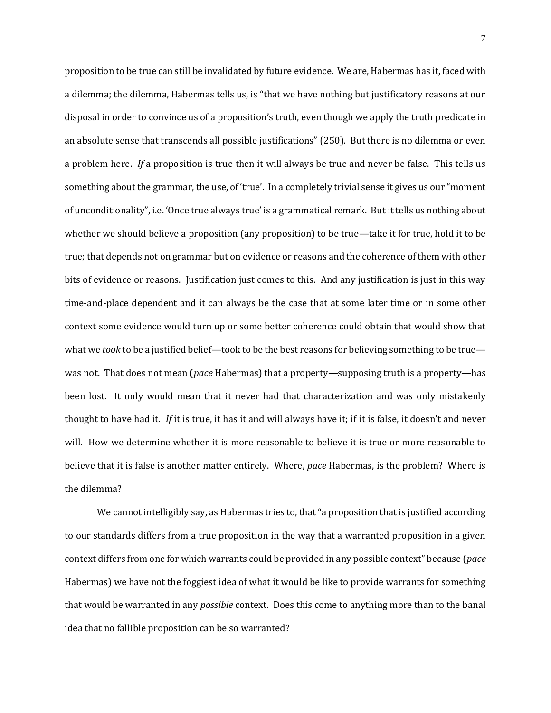proposition to be true can still be invalidated by future evidence. We are, Habermas has it, faced with a dilemma; the dilemma, Habermas tells us, is "that we have nothing but justificatory reasons at our disposal in order to convince us of a proposition's truth, even though we apply the truth predicate in an absolute sense that transcends all possible justifications" (250). But there is no dilemma or even a problem here. *If* a proposition is true then it will always be true and never be false. This tells us something about the grammar, the use, of 'true'. In a completely trivial sense it gives us our "moment of unconditionality", i.e. 'Once true always true' is a grammatical remark. But it tells us nothing about whether we should believe a proposition (any proposition) to be true—take it for true, hold it to be true; that depends not on grammar but on evidence or reasons and the coherence of them with other bits of evidence or reasons. Justification just comes to this. And any justification is just in this way time-and-place dependent and it can always be the case that at some later time or in some other context some evidence would turn up or some better coherence could obtain that would show that what we *took* to be a justified belief—took to be the best reasons for believing something to be true was not. That does not mean (*pace* Habermas) that a property—supposing truth is a property—has been lost. It only would mean that it never had that characterization and was only mistakenly thought to have had it. *If* it is true, it has it and will always have it; if it is false, it doesn't and never will. How we determine whether it is more reasonable to believe it is true or more reasonable to believe that it is false is another matter entirely. Where, *pace* Habermas, is the problem? Where is the dilemma?

We cannot intelligibly say, as Habermas tries to, that "a proposition that is justified according to our standards differs from a true proposition in the way that a warranted proposition in a given context differs from one for which warrants could be provided in any possible context" because (*pace*  Habermas) we have not the foggiest idea of what it would be like to provide warrants for something that would be warranted in any *possible* context. Does this come to anything more than to the banal idea that no fallible proposition can be so warranted?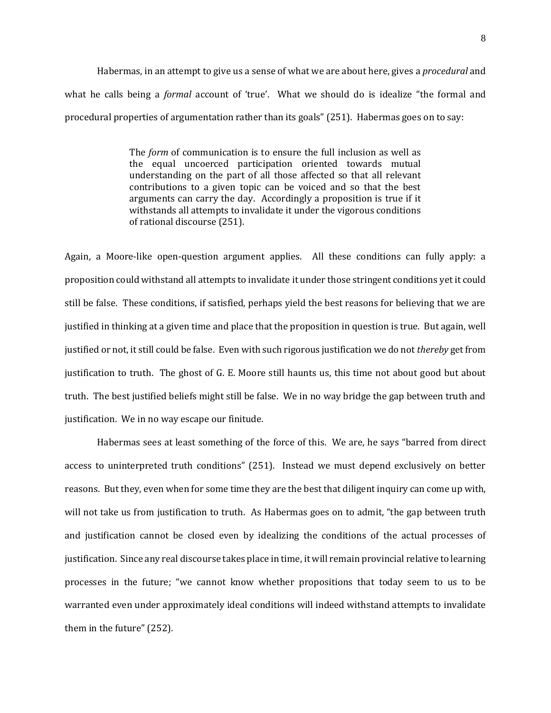Habermas, in an attempt to give us a sense of what we are about here, gives a *procedural* and what he calls being a *formal* account of 'true'. What we should do is idealize "the formal and procedural properties of argumentation rather than its goals" (251). Habermas goes on to say:

> The *form* of communication is to ensure the full inclusion as well as the equal uncoerced participation oriented towards mutual understanding on the part of all those affected so that all relevant contributions to a given topic can be voiced and so that the best arguments can carry the day. Accordingly a proposition is true if it withstands all attempts to invalidate it under the vigorous conditions of rational discourse (251).

Again, a Moore-like open-question argument applies. All these conditions can fully apply: a proposition could withstand all attempts to invalidate it under those stringent conditions yet it could still be false. These conditions, if satisfied, perhaps yield the best reasons for believing that we are justified in thinking at a given time and place that the proposition in question is true. But again, well justified or not, it still could be false. Even with such rigorous justification we do not *thereby* get from justification to truth. The ghost of G. E. Moore still haunts us, this time not about good but about truth. The best justified beliefs might still be false. We in no way bridge the gap between truth and justification. We in no way escape our finitude.

Habermas sees at least something of the force of this. We are, he says "barred from direct access to uninterpreted truth conditions" (251). Instead we must depend exclusively on better reasons. But they, even when for some time they are the best that diligent inquiry can come up with, will not take us from justification to truth. As Habermas goes on to admit, "the gap between truth and justification cannot be closed even by idealizing the conditions of the actual processes of justification. Since any real discourse takes place in time, it will remain provincial relative to learning processes in the future; "we cannot know whether propositions that today seem to us to be warranted even under approximately ideal conditions will indeed withstand attempts to invalidate them in the future" (252).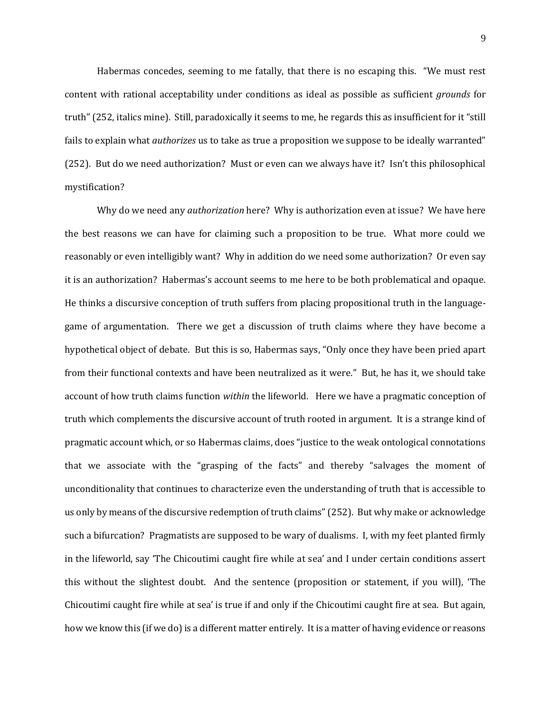Habermas concedes, seeming to me fatally, that there is no escaping this. "We must rest content with rational acceptability under conditions as ideal as possible as sufficient *grounds* for truth" (252, italics mine). Still, paradoxically it seems to me, he regards this as insufficient for it "still fails to explain what *authorizes* us to take as true a proposition we suppose to be ideally warranted" (252). But do we need authorization? Must or even can we always have it? Isn't this philosophical mystification?

Why do we need any *authorization* here? Why is authorization even at issue? We have here the best reasons we can have for claiming such a proposition to be true. What more could we reasonably or even intelligibly want? Why in addition do we need some authorization? Or even say it is an authorization? Habermas's account seems to me here to be both problematical and opaque. He thinks a discursive conception of truth suffers from placing propositional truth in the languagegame of argumentation. There we get a discussion of truth claims where they have become a hypothetical object of debate. But this is so, Habermas says, "Only once they have been pried apart from their functional contexts and have been neutralized as it were." But, he has it, we should take account of how truth claims function *within* the lifeworld. Here we have a pragmatic conception of truth which complements the discursive account of truth rooted in argument. It is a strange kind of pragmatic account which, or so Habermas claims, does "justice to the weak ontological connotations that we associate with the "grasping of the facts" and thereby "salvages the moment of unconditionality that continues to characterize even the understanding of truth that is accessible to us only by means of the discursive redemption of truth claims" (252). But why make or acknowledge such a bifurcation? Pragmatists are supposed to be wary of dualisms. I, with my feet planted firmly in the lifeworld, say 'The Chicoutimi caught fire while at sea' and I under certain conditions assert this without the slightest doubt. And the sentence (proposition or statement, if you will), 'The Chicoutimi caught fire while at sea' is true if and only if the Chicoutimi caught fire at sea. But again, how we know this (if we do) is a different matter entirely. It is a matter of having evidence or reasons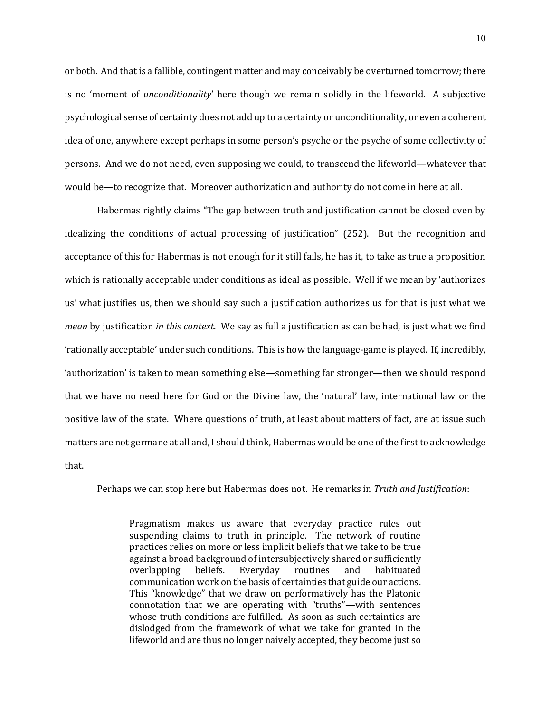or both. And that is a fallible, contingent matter and may conceivably be overturned tomorrow; there is no 'moment of *unconditionality*' here though we remain solidly in the lifeworld. A subjective psychological sense of certainty does not add up to a certainty or unconditionality, or even a coherent idea of one, anywhere except perhaps in some person's psyche or the psyche of some collectivity of persons. And we do not need, even supposing we could, to transcend the lifeworld—whatever that would be—to recognize that. Moreover authorization and authority do not come in here at all.

Habermas rightly claims "The gap between truth and justification cannot be closed even by idealizing the conditions of actual processing of justification" (252). But the recognition and acceptance of this for Habermas is not enough for it still fails, he has it, to take as true a proposition which is rationally acceptable under conditions as ideal as possible. Well if we mean by 'authorizes us' what justifies us, then we should say such a justification authorizes us for that is just what we *mean* by justification *in this context*. We say as full a justification as can be had, is just what we find 'rationally acceptable' under such conditions. This is how the language-game is played. If, incredibly, 'authorization' is taken to mean something else—something far stronger—then we should respond that we have no need here for God or the Divine law, the 'natural' law, international law or the positive law of the state. Where questions of truth, at least about matters of fact, are at issue such matters are not germane at all and, I should think, Habermas would be one of the first to acknowledge that.

Perhaps we can stop here but Habermas does not. He remarks in *Truth and Justification*:

Pragmatism makes us aware that everyday practice rules out suspending claims to truth in principle. The network of routine practices relies on more or less implicit beliefs that we take to be true against a broad background of intersubjectively shared or sufficiently overlapping beliefs. Everyday routines and habituated communication work on the basis of certainties that guide our actions. This "knowledge" that we draw on performatively has the Platonic connotation that we are operating with "truths"—with sentences whose truth conditions are fulfilled. As soon as such certainties are dislodged from the framework of what we take for granted in the lifeworld and are thus no longer naively accepted, they become just so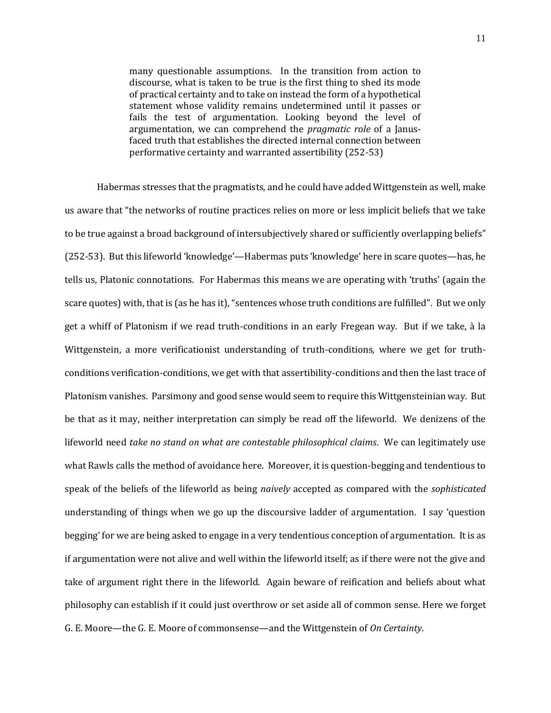many questionable assumptions. In the transition from action to discourse, what is taken to be true is the first thing to shed its mode of practical certainty and to take on instead the form of a hypothetical statement whose validity remains undetermined until it passes or fails the test of argumentation. Looking beyond the level of argumentation, we can comprehend the *pragmatic role* of a Janusfaced truth that establishes the directed internal connection between performative certainty and warranted assertibility (252-53)

Habermas stresses that the pragmatists, and he could have added Wittgenstein as well, make us aware that "the networks of routine practices relies on more or less implicit beliefs that we take to be true against a broad background of intersubjectively shared or sufficiently overlapping beliefs" (252-53). But this lifeworld 'knowledge'—Habermas puts 'knowledge' here in scare quotes—has, he tells us, Platonic connotations. For Habermas this means we are operating with 'truths' (again the scare quotes) with, that is (as he has it), "sentences whose truth conditions are fulfilled". But we only get a whiff of Platonism if we read truth-conditions in an early Fregean way. But if we take, à la Wittgenstein, a more verificationist understanding of truth-conditions, where we get for truthconditions verification-conditions, we get with that assertibility-conditions and then the last trace of Platonism vanishes. Parsimony and good sense would seem to require this Wittgensteinian way. But be that as it may, neither interpretation can simply be read off the lifeworld. We denizens of the lifeworld need *take no stand on what are contestable philosophical claims*. We can legitimately use what Rawls calls the method of avoidance here. Moreover, it is question-begging and tendentious to speak of the beliefs of the lifeworld as being *naively* accepted as compared with the *sophisticated*  understanding of things when we go up the discoursive ladder of argumentation. I say 'question begging' for we are being asked to engage in a very tendentious conception of argumentation. It is as if argumentation were not alive and well within the lifeworld itself; as if there were not the give and take of argument right there in the lifeworld. Again beware of reification and beliefs about what philosophy can establish if it could just overthrow or set aside all of common sense. Here we forget G. E. Moore—the G. E. Moore of commonsense—and the Wittgenstein of *On Certainty*.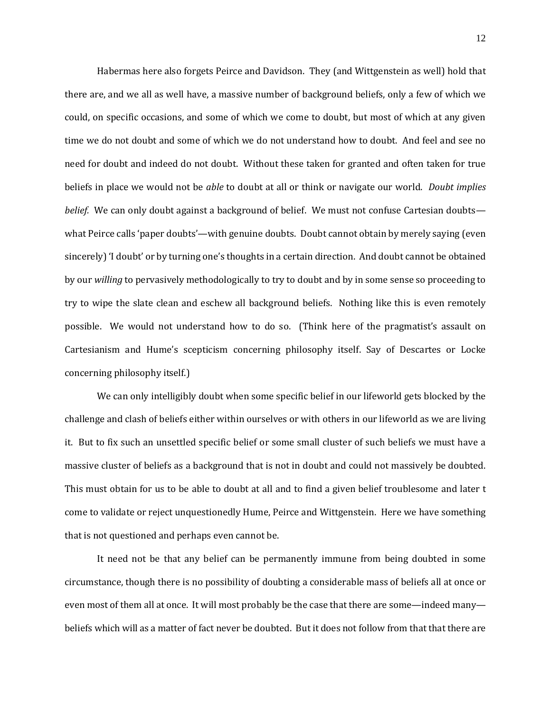Habermas here also forgets Peirce and Davidson. They (and Wittgenstein as well) hold that there are, and we all as well have, a massive number of background beliefs, only a few of which we could, on specific occasions, and some of which we come to doubt, but most of which at any given time we do not doubt and some of which we do not understand how to doubt. And feel and see no need for doubt and indeed do not doubt. Without these taken for granted and often taken for true beliefs in place we would not be *able* to doubt at all or think or navigate our world. *Doubt implies belief.* We can only doubt against a background of belief. We must not confuse Cartesian doubts what Peirce calls 'paper doubts'—with genuine doubts. Doubt cannot obtain by merely saying (even sincerely) 'I doubt' or by turning one's thoughts in a certain direction. And doubt cannot be obtained by our *willing* to pervasively methodologically to try to doubt and by in some sense so proceeding to try to wipe the slate clean and eschew all background beliefs. Nothing like this is even remotely possible. We would not understand how to do so. (Think here of the pragmatist's assault on Cartesianism and Hume's scepticism concerning philosophy itself. Say of Descartes or Locke concerning philosophy itself.)

We can only intelligibly doubt when some specific belief in our lifeworld gets blocked by the challenge and clash of beliefs either within ourselves or with others in our lifeworld as we are living it. But to fix such an unsettled specific belief or some small cluster of such beliefs we must have a massive cluster of beliefs as a background that is not in doubt and could not massively be doubted. This must obtain for us to be able to doubt at all and to find a given belief troublesome and later t come to validate or reject unquestionedly Hume, Peirce and Wittgenstein. Here we have something that is not questioned and perhaps even cannot be.

It need not be that any belief can be permanently immune from being doubted in some circumstance, though there is no possibility of doubting a considerable mass of beliefs all at once or even most of them all at once. It will most probably be the case that there are some—indeed many beliefs which will as a matter of fact never be doubted. But it does not follow from that that there are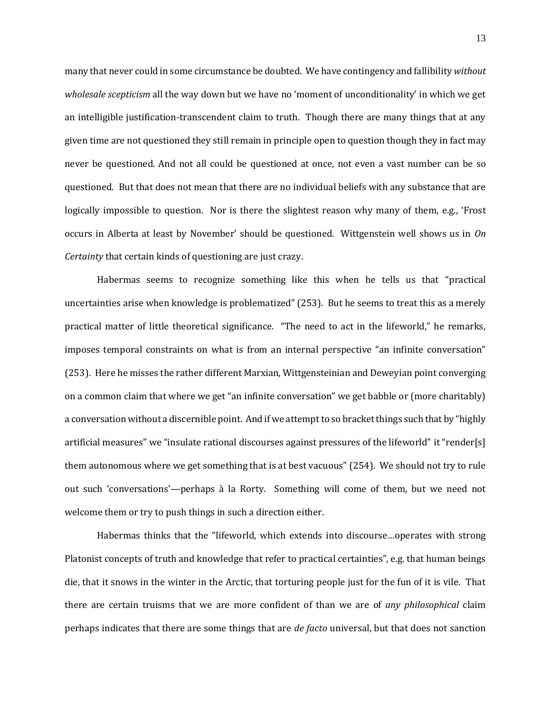many that never could in some circumstance be doubted. We have contingency and fallibility *without wholesale scepticism* all the way down but we have no 'moment of unconditionality' in which we get an intelligible justification-transcendent claim to truth. Though there are many things that at any given time are not questioned they still remain in principle open to question though they in fact may never be questioned. And not all could be questioned at once, not even a vast number can be so questioned. But that does not mean that there are no individual beliefs with any substance that are logically impossible to question. Nor is there the slightest reason why many of them, e.g., 'Frost occurs in Alberta at least by November' should be questioned. Wittgenstein well shows us in *On Certainty* that certain kinds of questioning are just crazy.

Habermas seems to recognize something like this when he tells us that "practical uncertainties arise when knowledge is problematized" (253). But he seems to treat this as a merely practical matter of little theoretical significance. "The need to act in the lifeworld," he remarks, imposes temporal constraints on what is from an internal perspective "an infinite conversation" (253). Here he misses the rather different Marxian, Wittgensteinian and Deweyian point converging on a common claim that where we get "an infinite conversation" we get babble or (more charitably) a conversation without a discernible point. And if we attempt to so bracket things such that by "highly artificial measures" we "insulate rational discourses against pressures of the lifeworld" it "render[s] them autonomous where we get something that is at best vacuous" (254). We should not try to rule out such 'conversations'—perhaps à la Rorty. Something will come of them, but we need not welcome them or try to push things in such a direction either.

Habermas thinks that the "lifeworld, which extends into discourse…operates with strong Platonist concepts of truth and knowledge that refer to practical certainties", e.g. that human beings die, that it snows in the winter in the Arctic, that torturing people just for the fun of it is vile. That there are certain truisms that we are more confident of than we are of *any philosophical* claim perhaps indicates that there are some things that are *de facto* universal, but that does not sanction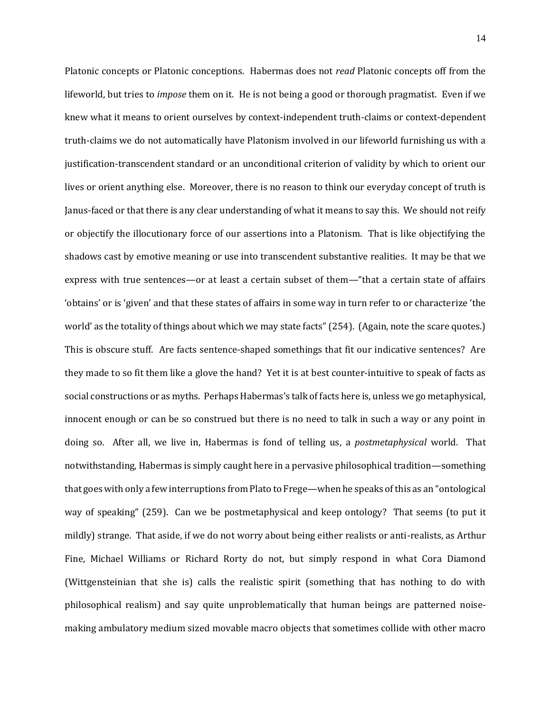Platonic concepts or Platonic conceptions. Habermas does not *read* Platonic concepts off from the lifeworld, but tries to *impose* them on it. He is not being a good or thorough pragmatist. Even if we knew what it means to orient ourselves by context-independent truth-claims or context-dependent truth-claims we do not automatically have Platonism involved in our lifeworld furnishing us with a justification-transcendent standard or an unconditional criterion of validity by which to orient our lives or orient anything else. Moreover, there is no reason to think our everyday concept of truth is Janus-faced or that there is any clear understanding of what it means to say this. We should not reify or objectify the illocutionary force of our assertions into a Platonism. That is like objectifying the shadows cast by emotive meaning or use into transcendent substantive realities. It may be that we express with true sentences—or at least a certain subset of them—"that a certain state of affairs 'obtains' or is 'given' and that these states of affairs in some way in turn refer to or characterize 'the world' as the totality of things about which we may state facts" (254). (Again, note the scare quotes.) This is obscure stuff. Are facts sentence-shaped somethings that fit our indicative sentences? Are they made to so fit them like a glove the hand? Yet it is at best counter-intuitive to speak of facts as social constructions or as myths. Perhaps Habermas's talk of facts here is, unless we go metaphysical, innocent enough or can be so construed but there is no need to talk in such a way or any point in doing so. After all, we live in, Habermas is fond of telling us, a *postmetaphysical* world. That notwithstanding, Habermas is simply caught here in a pervasive philosophical tradition—something that goes with only a few interruptions from Plato to Frege—when he speaks of this as an "ontological way of speaking" (259). Can we be postmetaphysical and keep ontology? That seems (to put it mildly) strange. That aside, if we do not worry about being either realists or anti-realists, as Arthur Fine, Michael Williams or Richard Rorty do not, but simply respond in what Cora Diamond (Wittgensteinian that she is) calls the realistic spirit (something that has nothing to do with philosophical realism) and say quite unproblematically that human beings are patterned noisemaking ambulatory medium sized movable macro objects that sometimes collide with other macro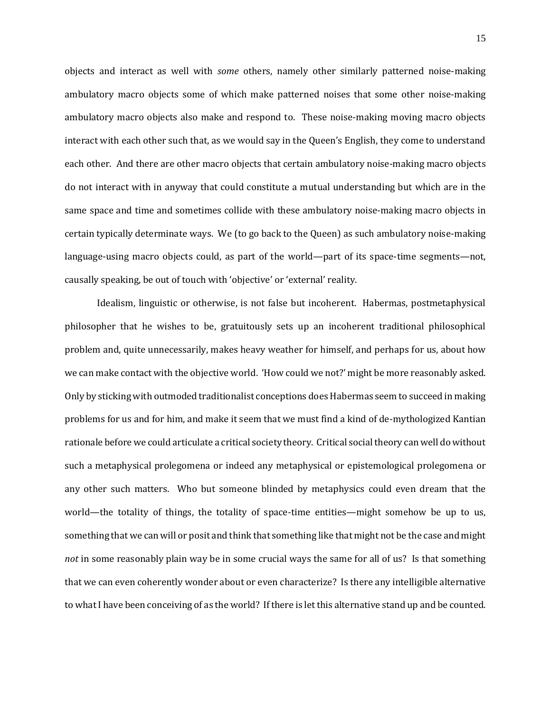objects and interact as well with *some* others, namely other similarly patterned noise-making ambulatory macro objects some of which make patterned noises that some other noise-making ambulatory macro objects also make and respond to. These noise-making moving macro objects interact with each other such that, as we would say in the Queen's English, they come to understand each other. And there are other macro objects that certain ambulatory noise-making macro objects do not interact with in anyway that could constitute a mutual understanding but which are in the same space and time and sometimes collide with these ambulatory noise-making macro objects in certain typically determinate ways. We (to go back to the Queen) as such ambulatory noise-making language-using macro objects could, as part of the world—part of its space-time segments—not, causally speaking, be out of touch with 'objective' or 'external' reality.

Idealism, linguistic or otherwise, is not false but incoherent. Habermas, postmetaphysical philosopher that he wishes to be, gratuitously sets up an incoherent traditional philosophical problem and, quite unnecessarily, makes heavy weather for himself, and perhaps for us, about how we can make contact with the objective world. 'How could we not?' might be more reasonably asked. Only by sticking with outmoded traditionalist conceptions does Habermas seem to succeed in making problems for us and for him, and make it seem that we must find a kind of de-mythologized Kantian rationale before we could articulate a critical society theory. Critical social theory can well do without such a metaphysical prolegomena or indeed any metaphysical or epistemological prolegomena or any other such matters. Who but someone blinded by metaphysics could even dream that the world—the totality of things, the totality of space-time entities—might somehow be up to us, something that we can will or posit and think that something like that might not be the case and might *not* in some reasonably plain way be in some crucial ways the same for all of us? Is that something that we can even coherently wonder about or even characterize? Is there any intelligible alternative to what I have been conceiving of as the world? If there is let this alternative stand up and be counted.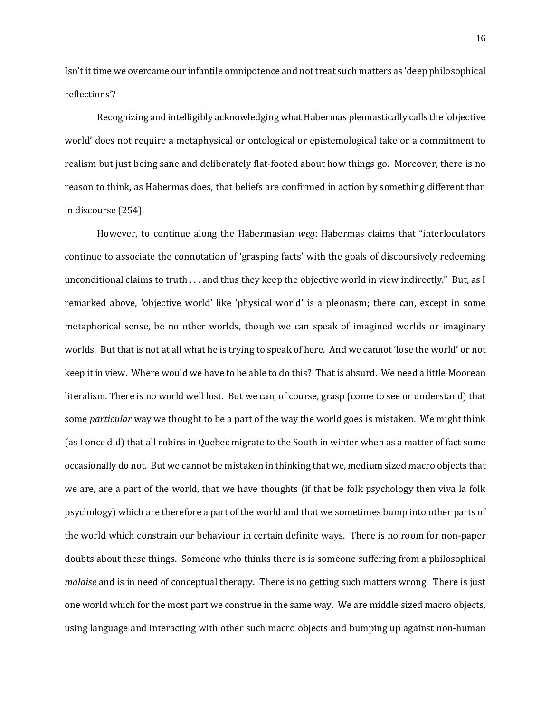Isn't it time we overcame our infantile omnipotence and not treat such matters as 'deep philosophical reflections'?

Recognizing and intelligibly acknowledging what Habermas pleonastically calls the 'objective world' does not require a metaphysical or ontological or epistemological take or a commitment to realism but just being sane and deliberately flat-footed about how things go. Moreover, there is no reason to think, as Habermas does, that beliefs are confirmed in action by something different than in discourse (254).

However, to continue along the Habermasian *weg*: Habermas claims that "interloculators continue to associate the connotation of 'grasping facts' with the goals of discoursively redeeming unconditional claims to truth . . . and thus they keep the objective world in view indirectly." But, as I remarked above, 'objective world' like 'physical world' is a pleonasm; there can, except in some metaphorical sense, be no other worlds, though we can speak of imagined worlds or imaginary worlds. But that is not at all what he is trying to speak of here. And we cannot 'lose the world' or not keep it in view. Where would we have to be able to do this? That is absurd. We need a little Moorean literalism. There is no world well lost. But we can, of course, grasp (come to see or understand) that some *particular* way we thought to be a part of the way the world goes is mistaken. We might think (as I once did) that all robins in Quebec migrate to the South in winter when as a matter of fact some occasionally do not. But we cannot be mistaken in thinking that we, medium sized macro objects that we are, are a part of the world, that we have thoughts (if that be folk psychology then viva la folk psychology) which are therefore a part of the world and that we sometimes bump into other parts of the world which constrain our behaviour in certain definite ways. There is no room for non-paper doubts about these things. Someone who thinks there is is someone suffering from a philosophical *malaise* and is in need of conceptual therapy. There is no getting such matters wrong. There is just one world which for the most part we construe in the same way. We are middle sized macro objects, using language and interacting with other such macro objects and bumping up against non-human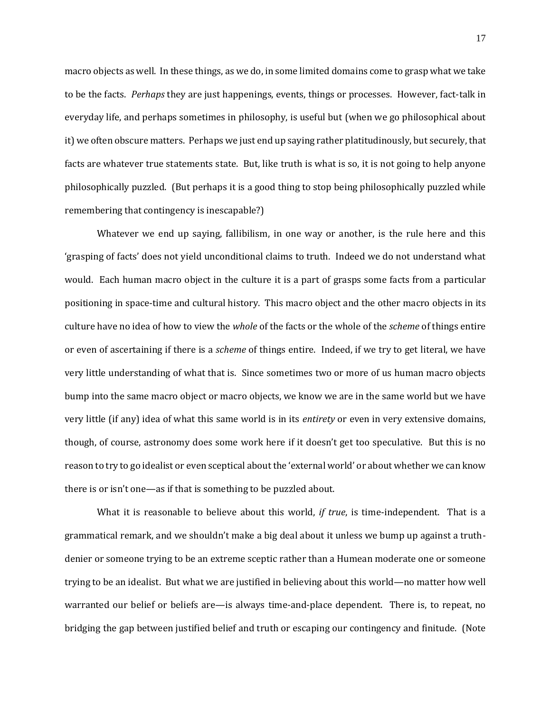macro objects as well. In these things, as we do, in some limited domains come to grasp what we take to be the facts. *Perhaps* they are just happenings, events, things or processes. However, fact-talk in everyday life, and perhaps sometimes in philosophy, is useful but (when we go philosophical about it) we often obscure matters. Perhaps we just end up saying rather platitudinously, but securely, that facts are whatever true statements state. But, like truth is what is so, it is not going to help anyone philosophically puzzled. (But perhaps it is a good thing to stop being philosophically puzzled while remembering that contingency is inescapable?)

Whatever we end up saying, fallibilism, in one way or another, is the rule here and this 'grasping of facts' does not yield unconditional claims to truth. Indeed we do not understand what would. Each human macro object in the culture it is a part of grasps some facts from a particular positioning in space-time and cultural history. This macro object and the other macro objects in its culture have no idea of how to view the *whole* of the facts or the whole of the *scheme* of things entire or even of ascertaining if there is a *scheme* of things entire. Indeed, if we try to get literal, we have very little understanding of what that is. Since sometimes two or more of us human macro objects bump into the same macro object or macro objects, we know we are in the same world but we have very little (if any) idea of what this same world is in its *entirety* or even in very extensive domains, though, of course, astronomy does some work here if it doesn't get too speculative. But this is no reason to try to go idealist or even sceptical about the 'external world' or about whether we can know there is or isn't one—as if that is something to be puzzled about.

What it is reasonable to believe about this world, *if true*, is time-independent. That is a grammatical remark, and we shouldn't make a big deal about it unless we bump up against a truthdenier or someone trying to be an extreme sceptic rather than a Humean moderate one or someone trying to be an idealist. But what we are justified in believing about this world—no matter how well warranted our belief or beliefs are—is always time-and-place dependent. There is, to repeat, no bridging the gap between justified belief and truth or escaping our contingency and finitude. (Note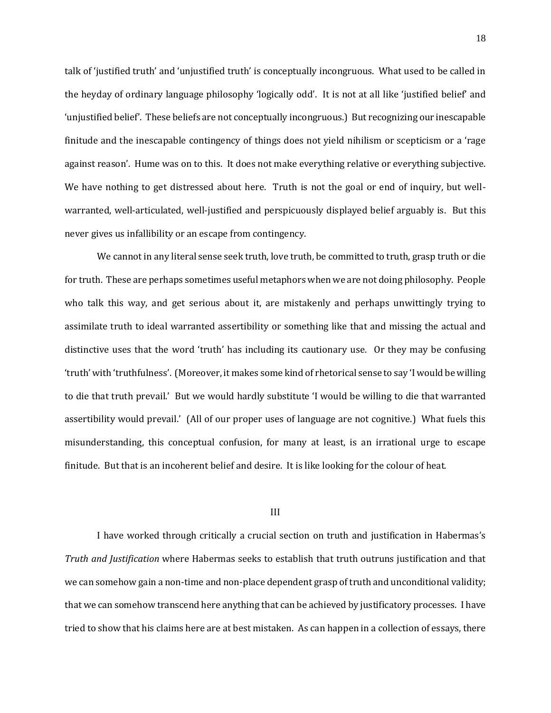talk of 'justified truth' and 'unjustified truth' is conceptually incongruous. What used to be called in the heyday of ordinary language philosophy 'logically odd'. It is not at all like 'justified belief' and 'unjustified belief'. These beliefs are not conceptually incongruous.) But recognizing our inescapable finitude and the inescapable contingency of things does not yield nihilism or scepticism or a 'rage against reason'. Hume was on to this. It does not make everything relative or everything subjective. We have nothing to get distressed about here. Truth is not the goal or end of inquiry, but wellwarranted, well-articulated, well-justified and perspicuously displayed belief arguably is. But this never gives us infallibility or an escape from contingency.

We cannot in any literal sense seek truth, love truth, be committed to truth, grasp truth or die for truth. These are perhaps sometimes useful metaphors when we are not doing philosophy. People who talk this way, and get serious about it, are mistakenly and perhaps unwittingly trying to assimilate truth to ideal warranted assertibility or something like that and missing the actual and distinctive uses that the word 'truth' has including its cautionary use. Or they may be confusing 'truth' with 'truthfulness'. (Moreover, it makes some kind of rhetorical sense to say 'I would be willing to die that truth prevail.' But we would hardly substitute 'I would be willing to die that warranted assertibility would prevail.' (All of our proper uses of language are not cognitive.) What fuels this misunderstanding, this conceptual confusion, for many at least, is an irrational urge to escape finitude. But that is an incoherent belief and desire. It is like looking for the colour of heat.

## III

I have worked through critically a crucial section on truth and justification in Habermas's *Truth and Justification* where Habermas seeks to establish that truth outruns justification and that we can somehow gain a non-time and non-place dependent grasp of truth and unconditional validity; that we can somehow transcend here anything that can be achieved by justificatory processes. I have tried to show that his claims here are at best mistaken. As can happen in a collection of essays, there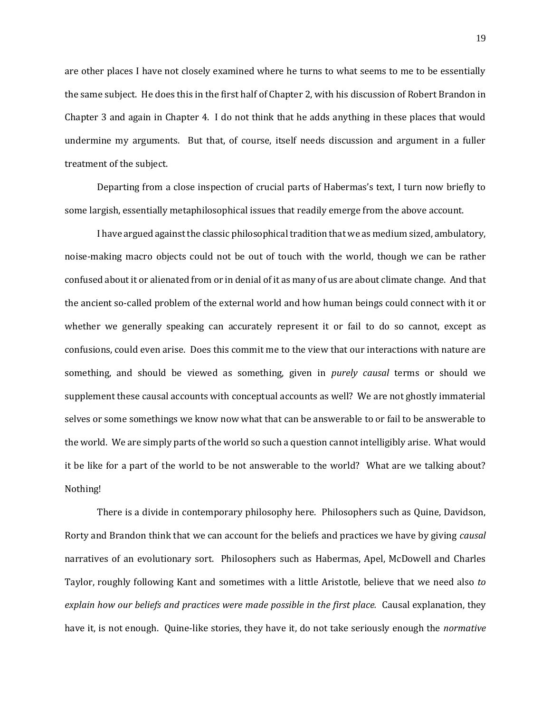are other places I have not closely examined where he turns to what seems to me to be essentially the same subject. He does this in the first half of Chapter 2, with his discussion of Robert Brandon in Chapter 3 and again in Chapter 4. I do not think that he adds anything in these places that would undermine my arguments. But that, of course, itself needs discussion and argument in a fuller treatment of the subject.

Departing from a close inspection of crucial parts of Habermas's text, I turn now briefly to some largish, essentially metaphilosophical issues that readily emerge from the above account.

I have argued against the classic philosophical tradition that we as medium sized, ambulatory, noise-making macro objects could not be out of touch with the world, though we can be rather confused about it or alienated from or in denial of it as many of us are about climate change. And that the ancient so-called problem of the external world and how human beings could connect with it or whether we generally speaking can accurately represent it or fail to do so cannot, except as confusions, could even arise. Does this commit me to the view that our interactions with nature are something, and should be viewed as something, given in *purely causal* terms or should we supplement these causal accounts with conceptual accounts as well? We are not ghostly immaterial selves or some somethings we know now what that can be answerable to or fail to be answerable to the world. We are simply parts of the world so such a question cannot intelligibly arise. What would it be like for a part of the world to be not answerable to the world? What are we talking about? Nothing!

There is a divide in contemporary philosophy here. Philosophers such as Quine, Davidson, Rorty and Brandon think that we can account for the beliefs and practices we have by giving *causal* narratives of an evolutionary sort. Philosophers such as Habermas, Apel, McDowell and Charles Taylor, roughly following Kant and sometimes with a little Aristotle, believe that we need also *to explain how our beliefs and practices were made possible in the first place.* Causal explanation, they have it, is not enough. Quine-like stories, they have it, do not take seriously enough the *normative*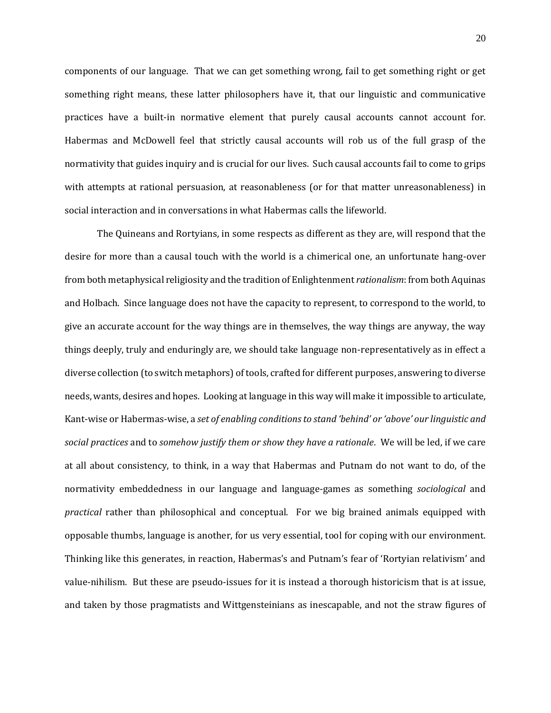components of our language. That we can get something wrong, fail to get something right or get something right means, these latter philosophers have it, that our linguistic and communicative practices have a built-in normative element that purely causal accounts cannot account for. Habermas and McDowell feel that strictly causal accounts will rob us of the full grasp of the normativity that guides inquiry and is crucial for our lives. Such causal accounts fail to come to grips with attempts at rational persuasion, at reasonableness (or for that matter unreasonableness) in social interaction and in conversations in what Habermas calls the lifeworld.

The Quineans and Rortyians, in some respects as different as they are, will respond that the desire for more than a causal touch with the world is a chimerical one, an unfortunate hang-over from both metaphysical religiosity and the tradition of Enlightenment *rationalism*: from both Aquinas and Holbach. Since language does not have the capacity to represent, to correspond to the world, to give an accurate account for the way things are in themselves, the way things are anyway, the way things deeply, truly and enduringly are, we should take language non-representatively as in effect a diverse collection (to switch metaphors) of tools, crafted for different purposes, answering to diverse needs, wants, desires and hopes. Looking at language in this way will make it impossible to articulate, Kant-wise or Habermas-wise, a *set of enabling conditions to stand 'behind' or 'above' our linguistic and social practices* and to *somehow justify them or show they have a rationale*. We will be led, if we care at all about consistency, to think, in a way that Habermas and Putnam do not want to do, of the normativity embeddedness in our language and language-games as something *sociological* and *practical* rather than philosophical and conceptual. For we big brained animals equipped with opposable thumbs, language is another, for us very essential, tool for coping with our environment. Thinking like this generates, in reaction, Habermas's and Putnam's fear of 'Rortyian relativism' and value-nihilism. But these are pseudo-issues for it is instead a thorough historicism that is at issue, and taken by those pragmatists and Wittgensteinians as inescapable, and not the straw figures of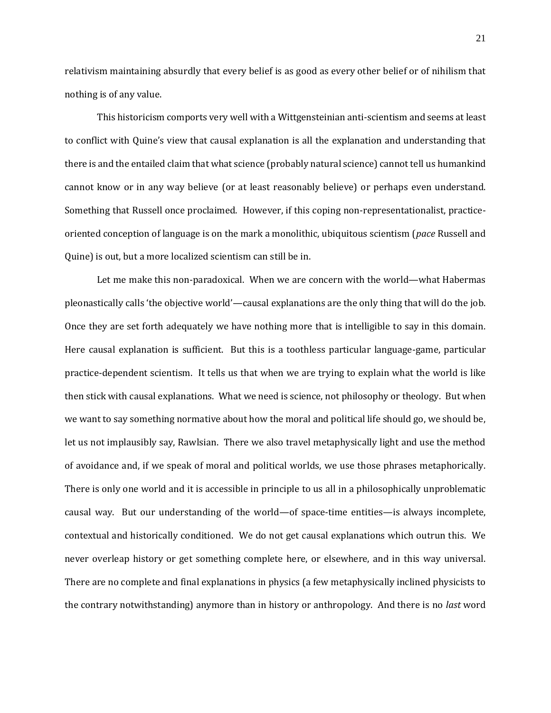relativism maintaining absurdly that every belief is as good as every other belief or of nihilism that nothing is of any value.

This historicism comports very well with a Wittgensteinian anti-scientism and seems at least to conflict with Quine's view that causal explanation is all the explanation and understanding that there is and the entailed claim that what science (probably natural science) cannot tell us humankind cannot know or in any way believe (or at least reasonably believe) or perhaps even understand. Something that Russell once proclaimed. However, if this coping non-representationalist, practiceoriented conception of language is on the mark a monolithic, ubiquitous scientism (*pace* Russell and Quine) is out, but a more localized scientism can still be in.

Let me make this non-paradoxical. When we are concern with the world—what Habermas pleonastically calls 'the objective world'—causal explanations are the only thing that will do the job. Once they are set forth adequately we have nothing more that is intelligible to say in this domain. Here causal explanation is sufficient. But this is a toothless particular language-game, particular practice-dependent scientism. It tells us that when we are trying to explain what the world is like then stick with causal explanations. What we need is science, not philosophy or theology. But when we want to say something normative about how the moral and political life should go, we should be, let us not implausibly say, Rawlsian. There we also travel metaphysically light and use the method of avoidance and, if we speak of moral and political worlds, we use those phrases metaphorically. There is only one world and it is accessible in principle to us all in a philosophically unproblematic causal way. But our understanding of the world—of space-time entities—is always incomplete, contextual and historically conditioned. We do not get causal explanations which outrun this. We never overleap history or get something complete here, or elsewhere, and in this way universal. There are no complete and final explanations in physics (a few metaphysically inclined physicists to the contrary notwithstanding) anymore than in history or anthropology. And there is no *last* word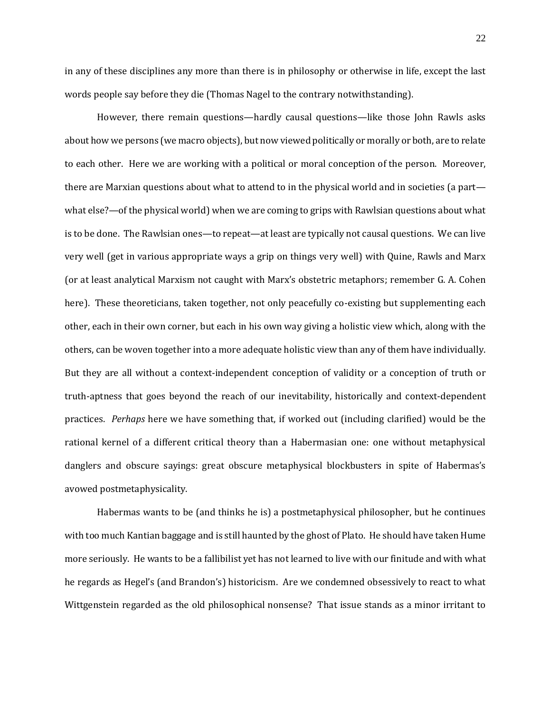in any of these disciplines any more than there is in philosophy or otherwise in life, except the last words people say before they die (Thomas Nagel to the contrary notwithstanding).

However, there remain questions—hardly causal questions—like those John Rawls asks about how we persons (we macro objects), but now viewed politically or morally or both, are to relate to each other. Here we are working with a political or moral conception of the person. Moreover, there are Marxian questions about what to attend to in the physical world and in societies (a part what else?—of the physical world) when we are coming to grips with Rawlsian questions about what is to be done. The Rawlsian ones—to repeat—at least are typically not causal questions. We can live very well (get in various appropriate ways a grip on things very well) with Quine, Rawls and Marx (or at least analytical Marxism not caught with Marx's obstetric metaphors; remember G. A. Cohen here). These theoreticians, taken together, not only peacefully co-existing but supplementing each other, each in their own corner, but each in his own way giving a holistic view which, along with the others, can be woven together into a more adequate holistic view than any of them have individually. But they are all without a context-independent conception of validity or a conception of truth or truth-aptness that goes beyond the reach of our inevitability, historically and context-dependent practices. *Perhaps* here we have something that, if worked out (including clarified) would be the rational kernel of a different critical theory than a Habermasian one: one without metaphysical danglers and obscure sayings: great obscure metaphysical blockbusters in spite of Habermas's avowed postmetaphysicality.

Habermas wants to be (and thinks he is) a postmetaphysical philosopher, but he continues with too much Kantian baggage and is still haunted by the ghost of Plato. He should have taken Hume more seriously. He wants to be a fallibilist yet has not learned to live with our finitude and with what he regards as Hegel's (and Brandon's) historicism. Are we condemned obsessively to react to what Wittgenstein regarded as the old philosophical nonsense? That issue stands as a minor irritant to